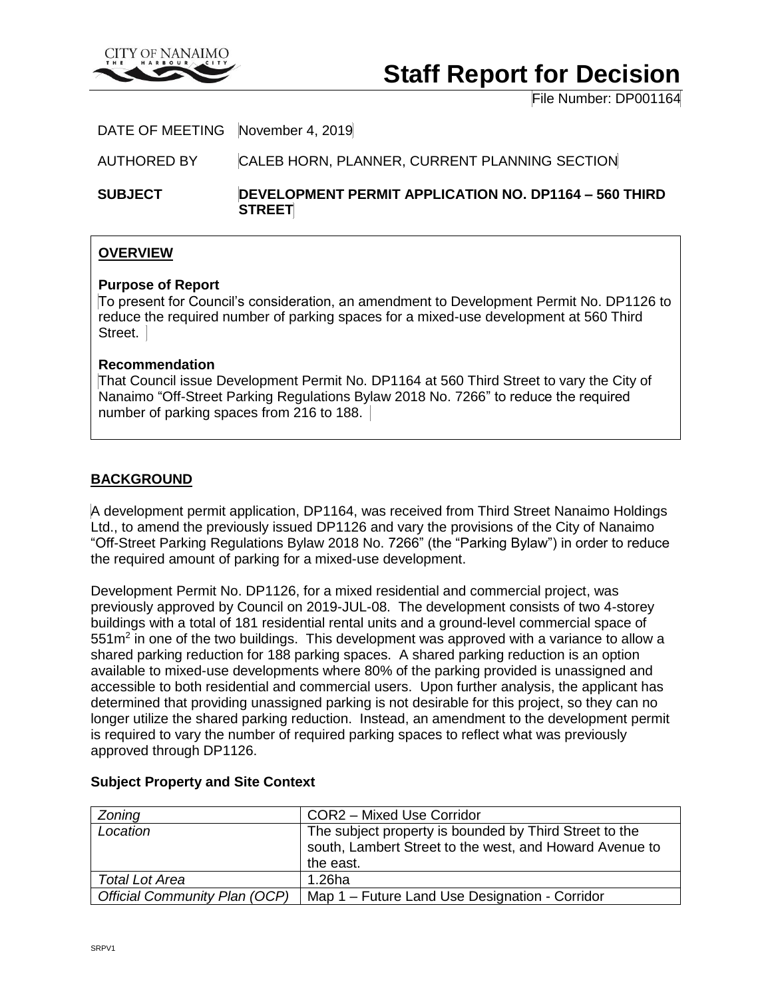

# **Staff Report for Decision**

File Number: DP001164

DATE OF MEETING November 4, 2019

AUTHORED BY CALEB HORN, PLANNER, CURRENT PLANNING SECTION

**SUBJECT DEVELOPMENT PERMIT APPLICATION NO. DP1164 – 560 THIRD STREET**

## **OVERVIEW**

## **Purpose of Report**

To present for Council's consideration, an amendment to Development Permit No. DP1126 to reduce the required number of parking spaces for a mixed-use development at 560 Third Street.

## **Recommendation**

That Council issue Development Permit No. DP1164 at 560 Third Street to vary the City of Nanaimo "Off-Street Parking Regulations Bylaw 2018 No. 7266" to reduce the required number of parking spaces from 216 to 188.

## **BACKGROUND**

A development permit application, DP1164, was received from Third Street Nanaimo Holdings Ltd., to amend the previously issued DP1126 and vary the provisions of the City of Nanaimo "Off-Street Parking Regulations Bylaw 2018 No. 7266" (the "Parking Bylaw") in order to reduce the required amount of parking for a mixed-use development.

Development Permit No. DP1126, for a mixed residential and commercial project, was previously approved by Council on 2019-JUL-08. The development consists of two 4-storey buildings with a total of 181 residential rental units and a ground-level commercial space of  $551<sup>m²</sup>$  in one of the two buildings. This development was approved with a variance to allow a shared parking reduction for 188 parking spaces. A shared parking reduction is an option available to mixed-use developments where 80% of the parking provided is unassigned and accessible to both residential and commercial users. Upon further analysis, the applicant has determined that providing unassigned parking is not desirable for this project, so they can no longer utilize the shared parking reduction. Instead, an amendment to the development permit is required to vary the number of required parking spaces to reflect what was previously approved through DP1126.

| Zoning                               | COR2 - Mixed Use Corridor                                                                                                      |
|--------------------------------------|--------------------------------------------------------------------------------------------------------------------------------|
| Location                             | The subject property is bounded by Third Street to the<br>south, Lambert Street to the west, and Howard Avenue to<br>the east. |
| Total Lot Area                       | 1.26ha                                                                                                                         |
| <b>Official Community Plan (OCP)</b> | Map 1 – Future Land Use Designation - Corridor                                                                                 |

## **Subject Property and Site Context**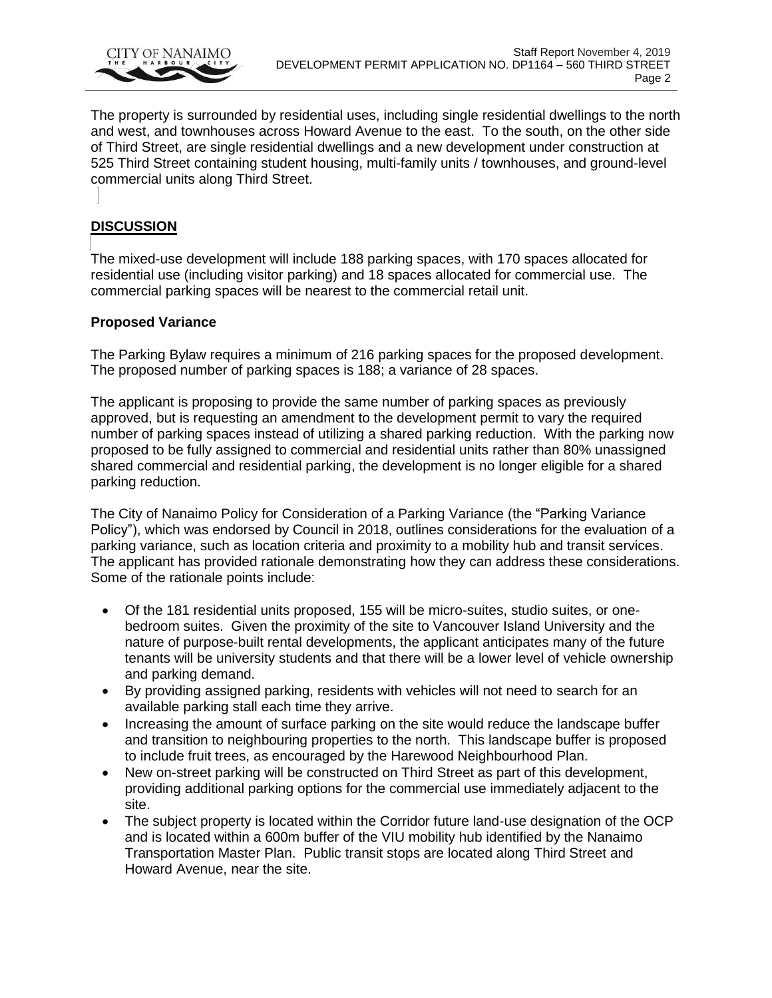

The property is surrounded by residential uses, including single residential dwellings to the north and west, and townhouses across Howard Avenue to the east. To the south, on the other side of Third Street, are single residential dwellings and a new development under construction at 525 Third Street containing student housing, multi-family units / townhouses, and ground-level commercial units along Third Street.

## **DISCUSSION**

The mixed-use development will include 188 parking spaces, with 170 spaces allocated for residential use (including visitor parking) and 18 spaces allocated for commercial use. The commercial parking spaces will be nearest to the commercial retail unit.

## **Proposed Variance**

The Parking Bylaw requires a minimum of 216 parking spaces for the proposed development. The proposed number of parking spaces is 188; a variance of 28 spaces.

The applicant is proposing to provide the same number of parking spaces as previously approved, but is requesting an amendment to the development permit to vary the required number of parking spaces instead of utilizing a shared parking reduction. With the parking now proposed to be fully assigned to commercial and residential units rather than 80% unassigned shared commercial and residential parking, the development is no longer eligible for a shared parking reduction.

The City of Nanaimo Policy for Consideration of a Parking Variance (the "Parking Variance Policy"), which was endorsed by Council in 2018, outlines considerations for the evaluation of a parking variance, such as location criteria and proximity to a mobility hub and transit services. The applicant has provided rationale demonstrating how they can address these considerations. Some of the rationale points include:

- Of the 181 residential units proposed, 155 will be micro-suites, studio suites, or onebedroom suites. Given the proximity of the site to Vancouver Island University and the nature of purpose-built rental developments, the applicant anticipates many of the future tenants will be university students and that there will be a lower level of vehicle ownership and parking demand.
- By providing assigned parking, residents with vehicles will not need to search for an available parking stall each time they arrive.
- Increasing the amount of surface parking on the site would reduce the landscape buffer and transition to neighbouring properties to the north. This landscape buffer is proposed to include fruit trees, as encouraged by the Harewood Neighbourhood Plan.
- New on-street parking will be constructed on Third Street as part of this development, providing additional parking options for the commercial use immediately adjacent to the site.
- The subject property is located within the Corridor future land-use designation of the OCP and is located within a 600m buffer of the VIU mobility hub identified by the Nanaimo Transportation Master Plan. Public transit stops are located along Third Street and Howard Avenue, near the site.